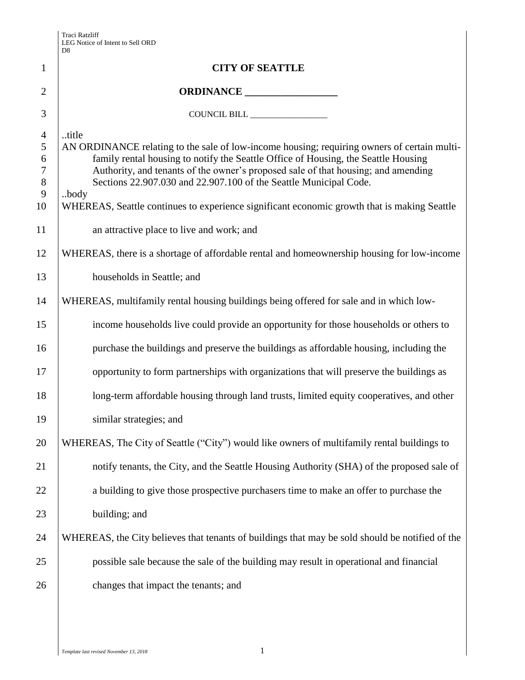|                                             | $\mathbf{D}8$                                                                                                                                                                                                                                                                                                                                        |
|---------------------------------------------|------------------------------------------------------------------------------------------------------------------------------------------------------------------------------------------------------------------------------------------------------------------------------------------------------------------------------------------------------|
| $\mathbf{1}$                                | <b>CITY OF SEATTLE</b>                                                                                                                                                                                                                                                                                                                               |
| $\overline{2}$                              | ORDINANCE                                                                                                                                                                                                                                                                                                                                            |
| 3                                           | COUNCIL BILL                                                                                                                                                                                                                                                                                                                                         |
| $\overline{4}$<br>5<br>6<br>$\tau$<br>$8\,$ | title<br>AN ORDINANCE relating to the sale of low-income housing; requiring owners of certain multi-<br>family rental housing to notify the Seattle Office of Housing, the Seattle Housing<br>Authority, and tenants of the owner's proposed sale of that housing; and amending<br>Sections 22.907.030 and 22.907.100 of the Seattle Municipal Code. |
| 9<br>10                                     | body<br>WHEREAS, Seattle continues to experience significant economic growth that is making Seattle                                                                                                                                                                                                                                                  |
| 11                                          | an attractive place to live and work; and                                                                                                                                                                                                                                                                                                            |
| 12                                          | WHEREAS, there is a shortage of affordable rental and homeownership housing for low-income                                                                                                                                                                                                                                                           |
| 13                                          | households in Seattle; and                                                                                                                                                                                                                                                                                                                           |
| 14                                          | WHEREAS, multifamily rental housing buildings being offered for sale and in which low-                                                                                                                                                                                                                                                               |
| 15                                          | income households live could provide an opportunity for those households or others to                                                                                                                                                                                                                                                                |
| 16                                          | purchase the buildings and preserve the buildings as affordable housing, including the                                                                                                                                                                                                                                                               |
| 17                                          | opportunity to form partnerships with organizations that will preserve the buildings as                                                                                                                                                                                                                                                              |
| 18                                          | long-term affordable housing through land trusts, limited equity cooperatives, and other                                                                                                                                                                                                                                                             |
| 19                                          | similar strategies; and                                                                                                                                                                                                                                                                                                                              |
| 20                                          | WHEREAS, The City of Seattle ("City") would like owners of multifamily rental buildings to                                                                                                                                                                                                                                                           |
| 21                                          | notify tenants, the City, and the Seattle Housing Authority (SHA) of the proposed sale of                                                                                                                                                                                                                                                            |
| 22                                          | a building to give those prospective purchasers time to make an offer to purchase the                                                                                                                                                                                                                                                                |
| 23                                          | building; and                                                                                                                                                                                                                                                                                                                                        |
| 24                                          | WHEREAS, the City believes that tenants of buildings that may be sold should be notified of the                                                                                                                                                                                                                                                      |
| 25                                          | possible sale because the sale of the building may result in operational and financial                                                                                                                                                                                                                                                               |
| 26                                          | changes that impact the tenants; and                                                                                                                                                                                                                                                                                                                 |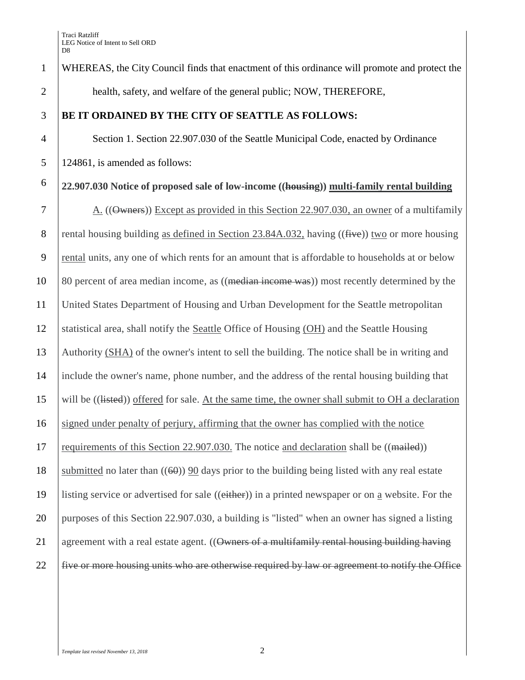1 WHEREAS, the City Council finds that enactment of this ordinance will promote and protect the 2 | health, safety, and welfare of the general public; NOW, THEREFORE, 3 **BE IT ORDAINED BY THE CITY OF SEATTLE AS FOLLOWS:** 4 Section 1. Section 22.907.030 of the Seattle Municipal Code, enacted by Ordinance 5 124861, is amended as follows: **22.907.030 Notice of proposed sale of low-income ((housing)) multi-family rental building** 6 7 A. ((Owners)) Except as provided in this Section 22.907.030, an owner of a multifamily 8 rental housing building as defined in Section 23.84A.032, having  $((\text{five}))$  two or more housing 9 rental units, any one of which rents for an amount that is affordable to households at or below 10 80 percent of area median income, as ((median income was)) most recently determined by the 11 United States Department of Housing and Urban Development for the Seattle metropolitan 12 statistical area, shall notify the Seattle Office of Housing (OH) and the Seattle Housing 13 Authority (SHA) of the owner's intent to sell the building. The notice shall be in writing and 14 include the owner's name, phone number, and the address of the rental housing building that 15 will be ((listed)) offered for sale. At the same time, the owner shall submit to OH a declaration 16 signed under penalty of perjury, affirming that the owner has complied with the notice 17 requirements of this Section 22.907.030. The notice and declaration shall be ((mailed)) 18 submitted no later than  $((60))$  90 days prior to the building being listed with any real estate 19 listing service or advertised for sale ((either)) in a printed newspaper or on a website. For the 20 purposes of this Section 22.907.030, a building is "listed" when an owner has signed a listing 21 agreement with a real estate agent.  $((\text{Owners of a multifamily rental housing building having})$ 22 five or more housing units who are otherwise required by law or agreement to notify the Office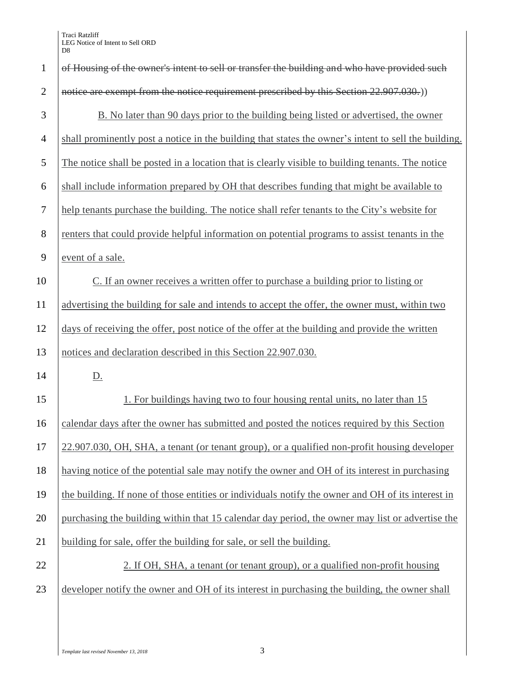| $\mathbf{1}$   | of Housing of the owner's intent to sell or transfer the building and who have provided such         |
|----------------|------------------------------------------------------------------------------------------------------|
| $\overline{2}$ | notice are exempt from the notice requirement prescribed by this Section 22.907.030.)                |
| 3              | B. No later than 90 days prior to the building being listed or advertised, the owner                 |
| $\overline{4}$ | shall prominently post a notice in the building that states the owner's intent to sell the building. |
| 5              | The notice shall be posted in a location that is clearly visible to building tenants. The notice     |
| 6              | shall include information prepared by OH that describes funding that might be available to           |
| $\tau$         | help tenants purchase the building. The notice shall refer tenants to the City's website for         |
| 8              | renters that could provide helpful information on potential programs to assist tenants in the        |
| 9              | event of a sale.                                                                                     |
| 10             | C. If an owner receives a written offer to purchase a building prior to listing or                   |
| 11             | advertising the building for sale and intends to accept the offer, the owner must, within two        |
| 12             | days of receiving the offer, post notice of the offer at the building and provide the written        |
| 13             | notices and declaration described in this Section 22.907.030.                                        |
| 14             | <u>D.</u>                                                                                            |
| 15             | 1. For buildings having two to four housing rental units, no later than 15                           |
| 16             | calendar days after the owner has submitted and posted the notices required by this Section          |
| 17             | 22.907.030, OH, SHA, a tenant (or tenant group), or a qualified non-profit housing developer         |
| 18             | having notice of the potential sale may notify the owner and OH of its interest in purchasing        |
| 19             | the building. If none of those entities or individuals notify the owner and OH of its interest in    |
| 20             | purchasing the building within that 15 calendar day period, the owner may list or advertise the      |
| 21             | building for sale, offer the building for sale, or sell the building.                                |
| 22             | 2. If OH, SHA, a tenant (or tenant group), or a qualified non-profit housing                         |
| 23             | developer notify the owner and OH of its interest in purchasing the building, the owner shall        |
|                |                                                                                                      |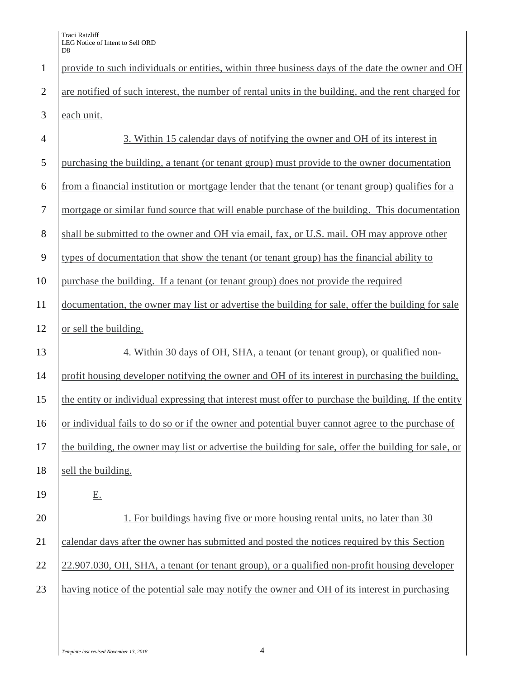Traci Ratzliff LEG Notice of Intent to Sell ORD D<sub>8</sub>

 provide to such individuals or entities, within three business days of the date the owner and OH 2 are notified of such interest, the number of rental units in the building, and the rent charged for each unit. 3. Within 15 calendar days of notifying the owner and OH of its interest in purchasing the building, a tenant (or tenant group) must provide to the owner documentation from a financial institution or mortgage lender that the tenant (or tenant group) qualifies for a mortgage or similar fund source that will enable purchase of the building. This documentation 8 shall be submitted to the owner and OH via email, fax, or U.S. mail. OH may approve other types of documentation that show the tenant (or tenant group) has the financial ability to purchase the building. If a tenant (or tenant group) does not provide the required documentation, the owner may list or advertise the building for sale, offer the building for sale 12 or sell the building. 13 4. Within 30 days of OH, SHA, a tenant (or tenant group), or qualified non- profit housing developer notifying the owner and OH of its interest in purchasing the building, the entity or individual expressing that interest must offer to purchase the building. If the entity or individual fails to do so or if the owner and potential buyer cannot agree to the purchase of the building, the owner may list or advertise the building for sale, offer the building for sale, or 18 sell the building. 19 E. 20 1. For buildings having five or more housing rental units, no later than 30 21 calendar days after the owner has submitted and posted the notices required by this Section 22 22.907.030, OH, SHA, a tenant (or tenant group), or a qualified non-profit housing developer having notice of the potential sale may notify the owner and OH of its interest in purchasing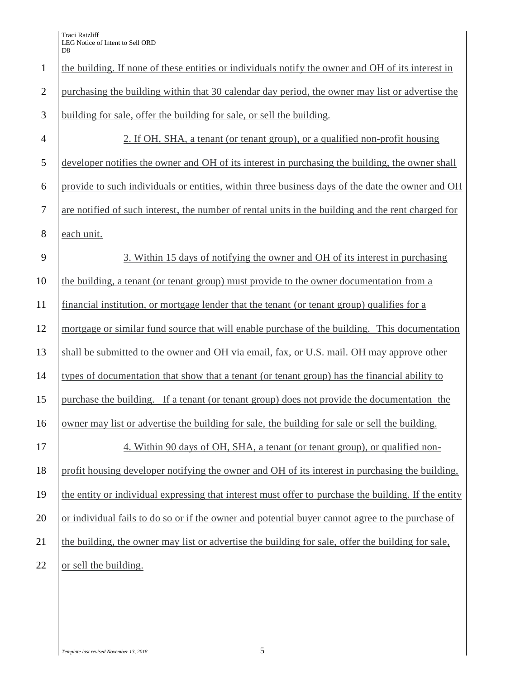| $\mathbf{1}$   | the building. If none of these entities or individuals notify the owner and OH of its interest in    |
|----------------|------------------------------------------------------------------------------------------------------|
| $\overline{2}$ | purchasing the building within that 30 calendar day period, the owner may list or advertise the      |
| 3              | building for sale, offer the building for sale, or sell the building.                                |
| $\overline{4}$ | 2. If OH, SHA, a tenant (or tenant group), or a qualified non-profit housing                         |
| 5              | developer notifies the owner and OH of its interest in purchasing the building, the owner shall      |
| 6              | provide to such individuals or entities, within three business days of the date the owner and OH     |
| $\tau$         | are notified of such interest, the number of rental units in the building and the rent charged for   |
| $8\,$          | each unit.                                                                                           |
| 9              | 3. Within 15 days of notifying the owner and OH of its interest in purchasing                        |
| 10             | the building, a tenant (or tenant group) must provide to the owner documentation from a              |
| 11             | financial institution, or mortgage lender that the tenant (or tenant group) qualifies for a          |
| 12             | mortgage or similar fund source that will enable purchase of the building. This documentation        |
| 13             | shall be submitted to the owner and OH via email, fax, or U.S. mail. OH may approve other            |
| 14             | types of documentation that show that a tenant (or tenant group) has the financial ability to        |
| 15             | purchase the building. If a tenant (or tenant group) does not provide the documentation the          |
| 16             | owner may list or advertise the building for sale, the building for sale or sell the building.       |
| 17             | 4. Within 90 days of OH, SHA, a tenant (or tenant group), or qualified non-                          |
| 18             | profit housing developer notifying the owner and OH of its interest in purchasing the building,      |
| 19             | the entity or individual expressing that interest must offer to purchase the building. If the entity |
| 20             | or individual fails to do so or if the owner and potential buyer cannot agree to the purchase of     |
| 21             | the building, the owner may list or advertise the building for sale, offer the building for sale,    |
| 22             | or sell the building.                                                                                |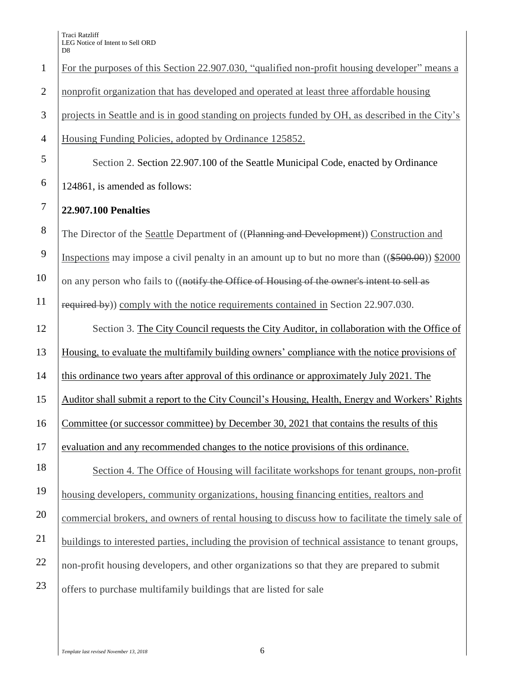|                | Dδ                                                                                                 |
|----------------|----------------------------------------------------------------------------------------------------|
| $\mathbf{1}$   | For the purposes of this Section 22.907.030, "qualified non-profit housing developer" means a      |
| $\overline{2}$ | nonprofit organization that has developed and operated at least three affordable housing           |
| 3              | projects in Seattle and is in good standing on projects funded by OH, as described in the City's   |
| $\overline{4}$ | Housing Funding Policies, adopted by Ordinance 125852.                                             |
| 5              | Section 2. Section 22.907.100 of the Seattle Municipal Code, enacted by Ordinance                  |
| 6              | 124861, is amended as follows:                                                                     |
| $\tau$         | <b>22.907.100 Penalties</b>                                                                        |
| 8              | The Director of the Seattle Department of ((Planning and Development)) Construction and            |
| 9              | Inspections may impose a civil penalty in an amount up to but no more than $((\$500.00))$ \$2000   |
| 10             | on any person who fails to ((notify the Office of Housing of the owner's intent to sell as         |
| 11             | required by) comply with the notice requirements contained in Section 22.907.030.                  |
| 12             | Section 3. The City Council requests the City Auditor, in collaboration with the Office of         |
| 13             | Housing, to evaluate the multifamily building owners' compliance with the notice provisions of     |
| 14             | this ordinance two years after approval of this ordinance or approximately July 2021. The          |
| 15             | Auditor shall submit a report to the City Council's Housing, Health, Energy and Workers' Rights    |
| 16             | Committee (or successor committee) by December 30, 2021 that contains the results of this          |
| 17             | evaluation and any recommended changes to the notice provisions of this ordinance.                 |
| 18             | Section 4. The Office of Housing will facilitate workshops for tenant groups, non-profit           |
| 19             | housing developers, community organizations, housing financing entities, realtors and              |
| 20             | commercial brokers, and owners of rental housing to discuss how to facilitate the timely sale of   |
| 21             | buildings to interested parties, including the provision of technical assistance to tenant groups, |
| 22             | non-profit housing developers, and other organizations so that they are prepared to submit         |
| 23             | offers to purchase multifamily buildings that are listed for sale                                  |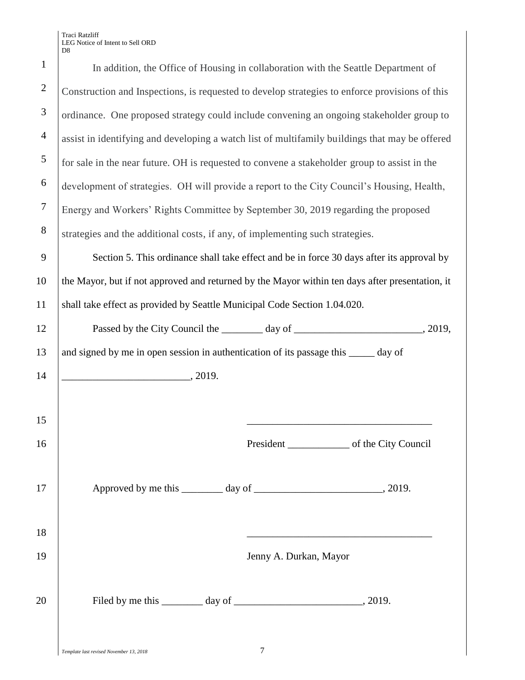| $\mathbf{1}$   | In addition, the Office of Housing in collaboration with the Seattle Department of              |  |  |
|----------------|-------------------------------------------------------------------------------------------------|--|--|
| $\overline{2}$ | Construction and Inspections, is requested to develop strategies to enforce provisions of this  |  |  |
| 3              | ordinance. One proposed strategy could include convening an ongoing stakeholder group to        |  |  |
| $\overline{4}$ | assist in identifying and developing a watch list of multifamily buildings that may be offered  |  |  |
| 5              | for sale in the near future. OH is requested to convene a stakeholder group to assist in the    |  |  |
| 6              | development of strategies. OH will provide a report to the City Council's Housing, Health,      |  |  |
| $\tau$         | Energy and Workers' Rights Committee by September 30, 2019 regarding the proposed               |  |  |
| 8              | strategies and the additional costs, if any, of implementing such strategies.                   |  |  |
| 9              | Section 5. This ordinance shall take effect and be in force 30 days after its approval by       |  |  |
| 10             | the Mayor, but if not approved and returned by the Mayor within ten days after presentation, it |  |  |
| 11             | shall take effect as provided by Seattle Municipal Code Section 1.04.020.                       |  |  |
| 12             |                                                                                                 |  |  |
| 13             | and signed by me in open session in authentication of its passage this _____ day of             |  |  |
| 14             | $\overline{\phantom{1}}$ , 2019.                                                                |  |  |
|                |                                                                                                 |  |  |
| 15             |                                                                                                 |  |  |
| 16             |                                                                                                 |  |  |
| 17             |                                                                                                 |  |  |
| 18             |                                                                                                 |  |  |
|                |                                                                                                 |  |  |
| 19             | Jenny A. Durkan, Mayor                                                                          |  |  |